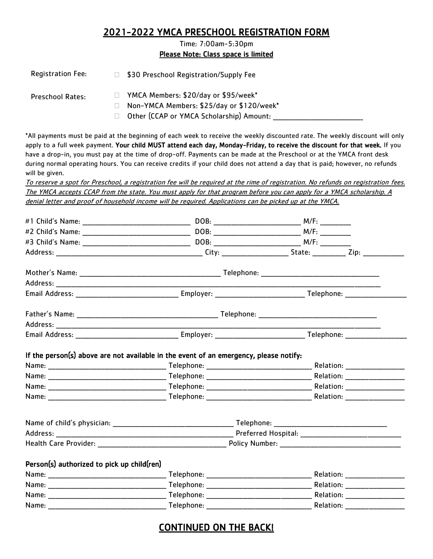## 2021-2022 YMCA PRESCHOOL REGISTRATION FORM

Time: 7:00am-5:30pm Please Note: Class space is limited

| <b>Registration Fee:</b> |    | \$30 Preschool Registration/Supply Fee                                                                                        |
|--------------------------|----|-------------------------------------------------------------------------------------------------------------------------------|
| <b>Preschool Rates:</b>  | H. | YMCA Members: \$20/day or \$95/week*<br>Non-YMCA Members: \$25/day or \$120/week*<br>Other (CCAP or YMCA Scholarship) Amount: |
|                          |    | *All payments must be paid at the beginning of each week to receive the weekly discounted rate. The weekly discount will only |

apply to a full week payment. Your child MUST attend each day, Monday-Friday, to receive the discount for that week. If you have a drop-in, you must pay at the time of drop-off. Payments can be made at the Preschool or at the YMCA front desk during normal operating hours. You can receive credits if your child does not attend a day that is paid; however, no refunds will be given.

To reserve a spot for Preschool, a registration fee will be required at the rime of registration. No refunds on registration fees. The YMCA accepts CCAP from the state. You must apply for that program before you can apply for a YMCA scholarship. A denial letter and proof of household income will be required. Applications can be picked up at the YMCA.

|                                            | Health Care Provider: National Policy Number: National Policy Number: |           |                                |
|--------------------------------------------|-----------------------------------------------------------------------|-----------|--------------------------------|
| Person(s) authorized to pick up child(ren) |                                                                       |           |                                |
|                                            |                                                                       |           |                                |
|                                            |                                                                       |           |                                |
|                                            |                                                                       |           | Relation: ____________________ |
| Name:                                      | Telephone:                                                            | Relation: |                                |

# CONTINUED ON THE BACK!